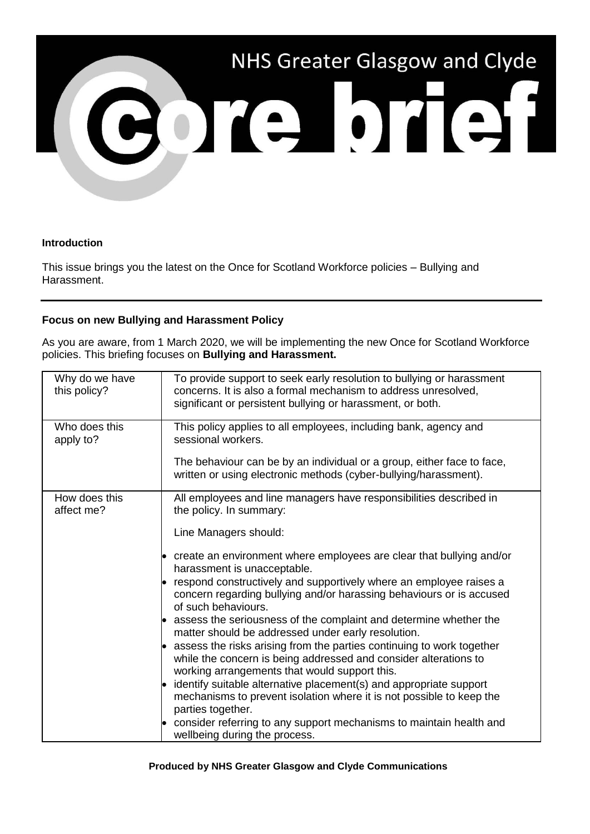

## **Introduction**

This issue brings you the latest on the Once for Scotland Workforce policies – Bullying and Harassment.

## **Focus on new Bullying and Harassment Policy**

As you are aware, from 1 March 2020, we will be implementing the new Once for Scotland Workforce policies. This briefing focuses on **Bullying and Harassment.**

| Why do we have<br>this policy? | To provide support to seek early resolution to bullying or harassment<br>concerns. It is also a formal mechanism to address unresolved,<br>significant or persistent bullying or harassment, or both.                                                                                                                                                                                                                                                                                                                                                                                                                                                                                                                                                                                                                                                                                                                                                                                                  |
|--------------------------------|--------------------------------------------------------------------------------------------------------------------------------------------------------------------------------------------------------------------------------------------------------------------------------------------------------------------------------------------------------------------------------------------------------------------------------------------------------------------------------------------------------------------------------------------------------------------------------------------------------------------------------------------------------------------------------------------------------------------------------------------------------------------------------------------------------------------------------------------------------------------------------------------------------------------------------------------------------------------------------------------------------|
| Who does this<br>apply to?     | This policy applies to all employees, including bank, agency and<br>sessional workers.<br>The behaviour can be by an individual or a group, either face to face,<br>written or using electronic methods (cyber-bullying/harassment).                                                                                                                                                                                                                                                                                                                                                                                                                                                                                                                                                                                                                                                                                                                                                                   |
| How does this<br>affect me?    | All employees and line managers have responsibilities described in<br>the policy. In summary:<br>Line Managers should:<br>create an environment where employees are clear that bullying and/or<br>harassment is unacceptable.<br>respond constructively and supportively where an employee raises a<br>concern regarding bullying and/or harassing behaviours or is accused<br>of such behaviours.<br>assess the seriousness of the complaint and determine whether the<br>matter should be addressed under early resolution.<br>assess the risks arising from the parties continuing to work together<br>while the concern is being addressed and consider alterations to<br>working arrangements that would support this.<br>identify suitable alternative placement(s) and appropriate support<br>mechanisms to prevent isolation where it is not possible to keep the<br>parties together.<br>consider referring to any support mechanisms to maintain health and<br>wellbeing during the process. |